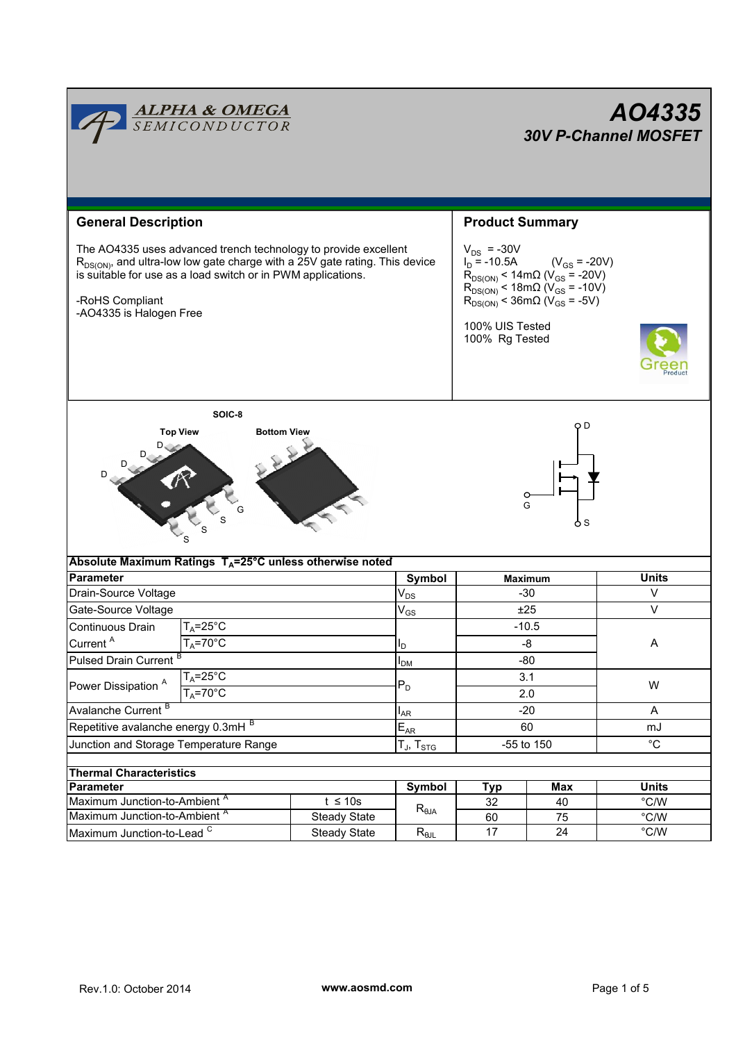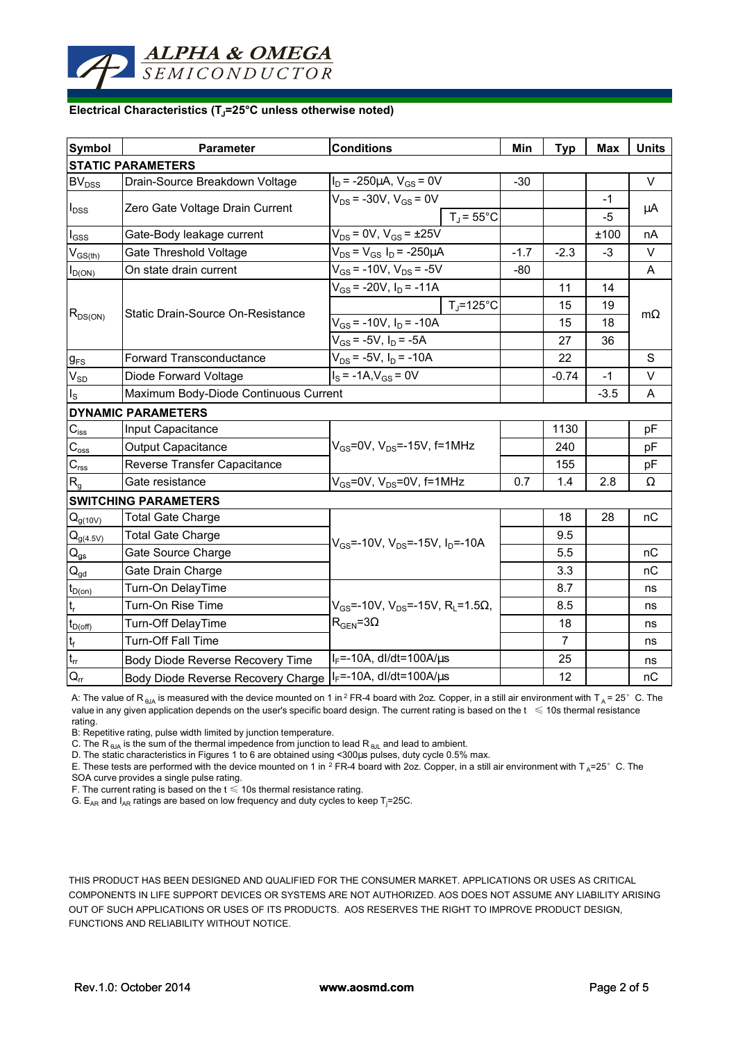## **Electrical Characteristics (TJ=25°C unless otherwise noted)**

ALPHA & OMEGA **SEMICONDUCTOR** 

| Symbol                                 | Parameter                             | <b>Conditions</b>                                              | Min    | <b>Typ</b>     | <b>Max</b> | <b>Units</b> |
|----------------------------------------|---------------------------------------|----------------------------------------------------------------|--------|----------------|------------|--------------|
| <b>STATIC PARAMETERS</b>               |                                       |                                                                |        |                |            |              |
| BV <sub>DSS</sub>                      | Drain-Source Breakdown Voltage        | $I_D$ = -250µA, $V_{GS}$ = 0V                                  | $-30$  |                |            | $\vee$       |
| $I_{\text{DSS}}$                       | Zero Gate Voltage Drain Current       | $V_{DS}$ = -30V, $V_{GS}$ = 0V                                 |        |                | $-1$       | μA           |
|                                        |                                       | $T_J = 55^{\circ}$ C                                           |        |                | $-5$       |              |
| $I_{GSS}$                              | Gate-Body leakage current             | $V_{DS}$ = 0V, $V_{GS}$ = $\pm 25V$                            |        |                | ±100       | nA           |
| $V_{GS(th)}$                           | Gate Threshold Voltage                | $V_{DS} = V_{GS} I_D = -250 \mu A$                             | $-1.7$ | $-2.3$         | $-3$       | V            |
| $I_{D(ON)}$                            | On state drain current                | $V_{GS}$ = -10V, $V_{DS}$ = -5V                                | $-80$  |                |            | A            |
| $R_{DS(ON)}$                           | Static Drain-Source On-Resistance     | $V_{GS}$ = -20V, $I_D$ = -11A                                  |        | 11             | 14         | $m\Omega$    |
|                                        |                                       | $T_i = 125^\circ C$                                            |        | 15             | 19         |              |
|                                        |                                       | $V_{GS}$ = -10V, $I_D$ = -10A                                  |        | 15             | 18         |              |
|                                        |                                       | $V_{GS}$ = -5V, $I_D$ = -5A                                    |        | 27             | 36         |              |
| $g_{FS}$                               | Forward Transconductance              | $V_{DS}$ = -5V, $I_D$ = -10A                                   |        | 22             |            | S            |
| $V_{SD}$                               | Diode Forward Voltage                 | $I_S = -1A$ , $V_{GS} = 0V$                                    |        | $-0.74$        | $-1$       | $\vee$       |
| $I_{\rm S}$                            | Maximum Body-Diode Continuous Current |                                                                |        |                | $-3.5$     | A            |
|                                        | <b>DYNAMIC PARAMETERS</b>             |                                                                |        |                |            |              |
| $\mathbf{C}_{\mathsf{iss}}$            | Input Capacitance                     | $V_{GS}$ =0V, $V_{DS}$ =-15V, f=1MHz                           |        | 1130           |            | pF           |
| $C_{\underline{\text{oss}}}$           | <b>Output Capacitance</b>             |                                                                |        | 240            |            | pF           |
| $\mathbf{C}_{\text{rss}}$              | Reverse Transfer Capacitance          |                                                                |        | 155            |            | рF           |
| $R_{q}$                                | Gate resistance                       | $V_{GS}$ =0V, $V_{DS}$ =0V, f=1MHz                             | 0.7    | 1.4            | 2.8        | Ω            |
| <b>SWITCHING PARAMETERS</b>            |                                       |                                                                |        |                |            |              |
| $Q_{g(10V)}$                           | <b>Total Gate Charge</b>              | $V_{GS}$ =-10V, $V_{DS}$ =-15V, $I_{D}$ =-10A                  |        | 18             | 28         | nC           |
| $Q_{g(4.5V)}$                          | <b>Total Gate Charge</b>              |                                                                |        | 9.5            |            |              |
| $\mathsf{Q}_{\mathsf{gs}}$             | Gate Source Charge                    |                                                                |        | 5.5            |            | nC           |
| $\mathsf{Q}_{\underline{\mathsf{gd}}}$ | Gate Drain Charge                     |                                                                |        | 3.3            |            | nС           |
| $t_{D(0n)}$                            | Turn-On DelayTime                     |                                                                |        | 8.7            |            | ns           |
| $t_r$                                  | Turn-On Rise Time                     | $V_{GS}$ =-10V, $V_{DS}$ =-15V, R <sub>L</sub> =1.5 $\Omega$ , |        | 8.5            |            | ns           |
| $t_{D(off)}$                           | Turn-Off DelayTime                    | $R_{\text{GEN}} = 3\Omega$                                     |        | 18             |            | ns           |
|                                        | <b>Turn-Off Fall Time</b>             |                                                                |        | $\overline{7}$ |            | ns           |
| $\frac{t_f}{t_{rr}}$                   | Body Diode Reverse Recovery Time      | $I_F = -10A$ , dl/dt=100A/ $\mu$ s                             |        | 25             |            | ns           |
|                                        | Body Diode Reverse Recovery Charge    | $I_F$ =-10A, dl/dt=100A/ $\mu$ s                               |        | 12             |            | nC           |

A: The value of R<sub>BJA</sub> is measured with the device mounted on 1 in <sup>2</sup> FR-4 board with 2oz. Copper, in a still air environment with T<sub>A</sub> = 25°C. The value in any given application depends on the user's specific board design. The current rating is based on the  $t \leq 10$ s thermal resistance rating.

B: Repetitive rating, pulse width limited by junction temperature.

C. The R  $_{\theta$ JA is the sum of the thermal impedence from junction to lead R  $_{\theta$ JL and lead to ambient.

D. The static characteristics in Figures 1 to 6 are obtained using <300µs pulses, duty cycle 0.5% max.

E. These tests are performed with the device mounted on 1 in <sup>2</sup> FR-4 board with 2oz. Copper, in a still air environment with T<sub>A</sub>=25°C. The SOA curve provides a single pulse rating.

F. The current rating is based on the  $t \leq 10$ s thermal resistance rating.

G.  $E_{AR}$  and  $I_{AR}$  ratings are based on low frequency and duty cycles to keep T<sub>j</sub>=25C.

THIS PRODUCT HAS BEEN DESIGNED AND QUALIFIED FOR THE CONSUMER MARKET. APPLICATIONS OR USES AS CRITICAL COMPONENTS IN LIFE SUPPORT DEVICES OR SYSTEMS ARE NOT AUTHORIZED. AOS DOES NOT ASSUME ANY LIABILITY ARISING OUT OF SUCH APPLICATIONS OR USES OF ITS PRODUCTS. AOS RESERVES THE RIGHT TO IMPROVE PRODUCT DESIGN, FUNCTIONS AND RELIABILITY WITHOUT NOTICE.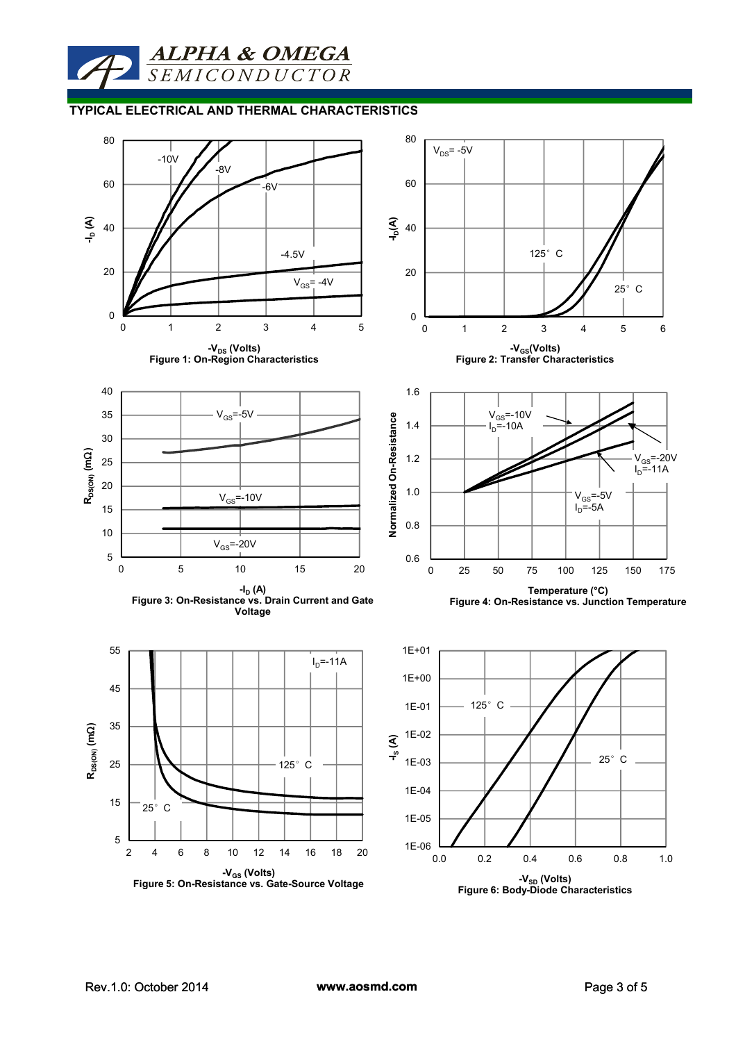**ALPHA & OMEGA**<br>SEMICONDUCTOR

#### **TYPICAL ELECTRICAL AND THERMAL CHARACTERISTICS**

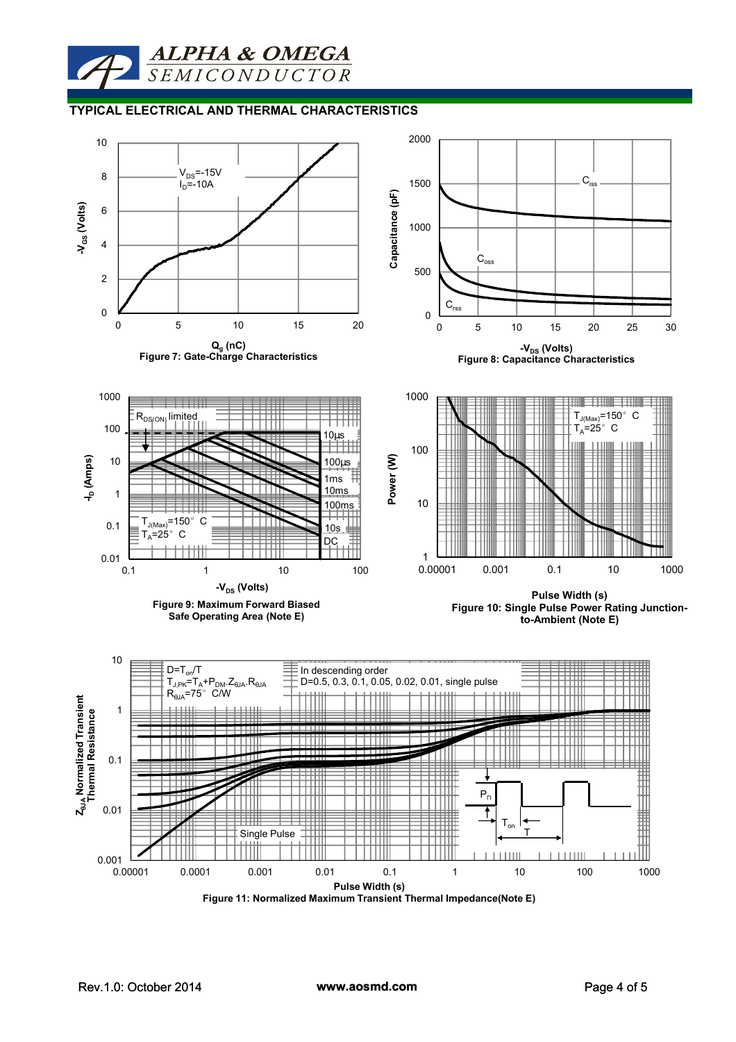# **ALPHA & OMEGA SEMICONDUCTOR**

#### **TYPICAL ELECTRICAL AND THERMAL CHARACTERISTICS**